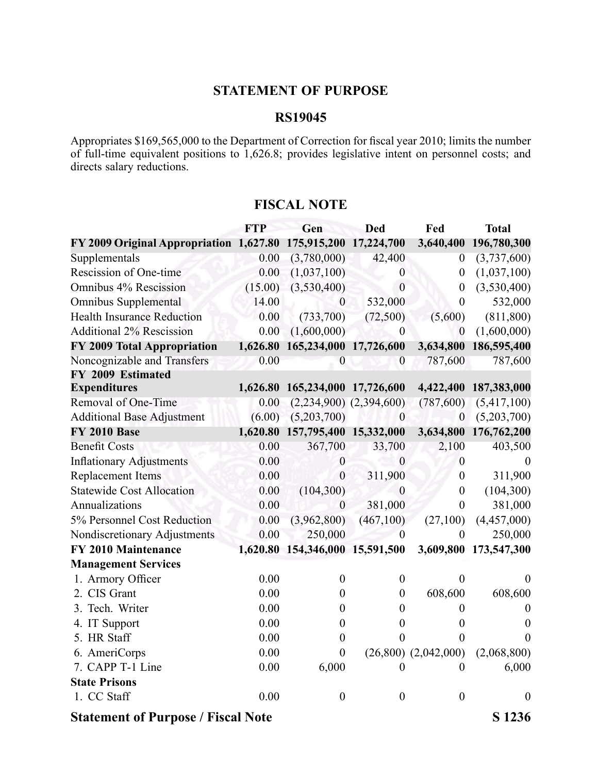## **STATEMENT OF PURPOSE**

#### **RS19045**

Appropriates \$169,565,000 to the Department of Correction for fiscal year 2010; limits the number of full-time equivalent positions to 1,626.8; provides legislative intent on personnel costs; and directs salary reductions.

#### **FISCAL NOTE**

|                                           | <b>FTP</b> | Gen                             | <b>Ded</b>                  | Fed                      | <b>Total</b> |
|-------------------------------------------|------------|---------------------------------|-----------------------------|--------------------------|--------------|
| FY 2009 Original Appropriation 1,627.80   |            | 175,915,200                     | 17,224,700                  | 3,640,400                | 196,780,300  |
| Supplementals                             | 0.00       | (3,780,000)                     | 42,400                      | $\overline{0}$           | (3,737,600)  |
| Rescission of One-time                    | 0.00       | (1,037,100)                     | $\boldsymbol{0}$            | $\boldsymbol{0}$         | (1,037,100)  |
| Omnibus 4% Rescission                     | (15.00)    | (3,530,400)                     | $\overline{0}$              | $\boldsymbol{0}$         | (3,530,400)  |
| <b>Omnibus Supplemental</b>               | 14.00      | $\boldsymbol{0}$                | 532,000                     | $\overline{0}$           | 532,000      |
| <b>Health Insurance Reduction</b>         | 0.00       | (733,700)                       | (72,500)                    | (5,600)                  | (811, 800)   |
| <b>Additional 2% Rescission</b>           | 0.00       | (1,600,000)                     | $\boldsymbol{0}$            | $\boldsymbol{0}$         | (1,600,000)  |
| FY 2009 Total Appropriation               | 1,626.80   | 165,234,000                     | 17,726,600                  | 3,634,800                | 186,595,400  |
| Noncognizable and Transfers               | 0.00       | $\theta$                        | $\boldsymbol{0}$            | 787,600                  | 787,600      |
| FY 2009 Estimated                         |            |                                 |                             |                          |              |
| <b>Expenditures</b>                       |            | 1,626.80 165,234,000 17,726,600 |                             | 4,422,400                | 187,383,000  |
| Removal of One-Time                       | 0.00       |                                 | $(2,234,900)$ $(2,394,600)$ | (787,600)                | (5,417,100)  |
| <b>Additional Base Adjustment</b>         | (6.00)     | (5,203,700)                     | $\mathbf{0}$                | $\mathbf{0}$             | (5,203,700)  |
| <b>FY 2010 Base</b>                       | 1,620.80   | 157,795,400 15,332,000          |                             | 3,634,800                | 176,762,200  |
| <b>Benefit Costs</b>                      | 0.00       | 367,700                         | 33,700                      | 2,100                    | 403,500      |
| <b>Inflationary Adjustments</b>           | 0.00       | $\overline{0}$                  | $\overline{0}$              | $\theta$                 | $\theta$     |
| <b>Replacement Items</b>                  | 0.00       | $\boldsymbol{0}$                | 311,900                     | $\boldsymbol{0}$         | 311,900      |
| <b>Statewide Cost Allocation</b>          | 0.00       | (104, 300)                      | $\mathbf{0}$                | $\boldsymbol{0}$         | (104, 300)   |
| Annualizations                            | 0.00       | $\boldsymbol{0}$                | 381,000                     | $\boldsymbol{0}$         | 381,000      |
| 5% Personnel Cost Reduction               | 0.00       | (3,962,800)                     | (467, 100)                  | (27,100)                 | (4,457,000)  |
| Nondiscretionary Adjustments              | 0.00       | 250,000                         | $\overline{0}$              | $\mathbf{0}$             | 250,000      |
| <b>FY 2010 Maintenance</b>                | 1,620.80   | 154,346,000 15,591,500          |                             | 3,609,800                | 173,547,300  |
| <b>Management Services</b>                |            |                                 |                             |                          |              |
| 1. Armory Officer                         | 0.00       | $\boldsymbol{0}$                | $\boldsymbol{0}$            | $\overline{0}$           |              |
| 2. CIS Grant                              | 0.00       | $\boldsymbol{0}$                | $\boldsymbol{0}$            | 608,600                  | 608,600      |
| 3. Tech. Writer                           | 0.00       | $\boldsymbol{0}$                | $\boldsymbol{0}$            | $\overline{0}$           | $\theta$     |
| 4. IT Support                             | 0.00       | $\boldsymbol{0}$                | $\boldsymbol{0}$            | $\boldsymbol{0}$         | 0            |
| 5. HR Staff                               | 0.00       | $\boldsymbol{0}$                | $\overline{0}$              | $\boldsymbol{0}$         | $\theta$     |
| 6. AmeriCorps                             | 0.00       | $\boldsymbol{0}$                |                             | $(26,800)$ $(2,042,000)$ | (2,068,800)  |
| 7. CAPP T-1 Line                          | 0.00       | 6,000                           | 0                           | $\overline{0}$           | 6,000        |
| <b>State Prisons</b>                      |            |                                 |                             |                          |              |
| 1. CC Staff                               | 0.00       | $\boldsymbol{0}$                | $\boldsymbol{0}$            | $\boldsymbol{0}$         | $\theta$     |
| <b>Statement of Purpose / Fiscal Note</b> |            |                                 |                             |                          | S 1236       |